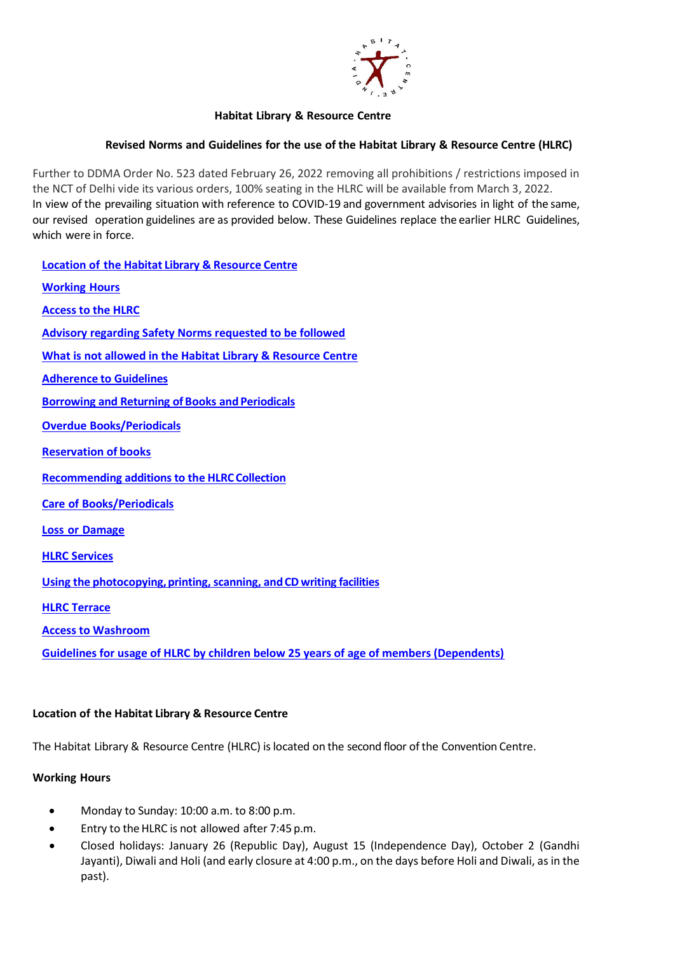

### **Habitat Library & Resource Centre**

## **Revised Norms and Guidelines for the use of the Habitat Library & Resource Centre (HLRC)**

Further to DDMA Order No. 523 dated February 26, 2022 removing all prohibitions / restrictions imposed in the NCT of Delhi vide its various orders, 100% seating in the HLRC will be available from March 3, 2022. In view of the prevailing situation with reference to COVID-19 and government advisories in light of the same, our revised operation guidelines are as provided below. These Guidelines replace the earlier HLRC Guidelines, which were in force.

**Location of the Habitat Library & [Resource](#page-0-0) Centre [Working](#page-0-1) Hours [Access to the HLRC](#page-1-0) [Advisory regarding Safety Norms requested to be followed](#page-1-1) [What is not allowed in the Habitat Library & Resource Centre](#page-2-0) [Adherence](#page-2-1) to Guidelines Borrowing and Returning of Books and [Periodicals](#page-2-2) Overdue [Books/Periodicals](#page-3-0) [Reservation](#page-3-1) of books [Recommending](#page-3-2) additions to the HLRC Collection Care of [Books/Periodicals](#page-3-3) Loss or [Damage](#page-3-4) HLRC [Services](#page-4-0) Using the photocopying, printing, scanning, and CD writing facilities [HLRC Terrace](#page-5-0) [Access to Washroom](#page-5-1) [Guidelines for usage of HLRC by children below 25 years of age of members \(Dependents\)](#page-6-0)**

### <span id="page-0-0"></span>**Location of the Habitat Library & Resource Centre**

The Habitat Library & Resource Centre (HLRC) islocated on the second floor of the Convention Centre.

### <span id="page-0-1"></span>**Working Hours**

- Monday to Sunday: 10:00 a.m. to 8:00 p.m.
- Entry to the HLRC is not allowed after 7:45 p.m.
- Closed holidays: January 26 (Republic Day), August 15 (Independence Day), October 2 (Gandhi Jayanti), Diwali and Holi (and early closure at 4:00 p.m., on the days before Holi and Diwali, as in the past).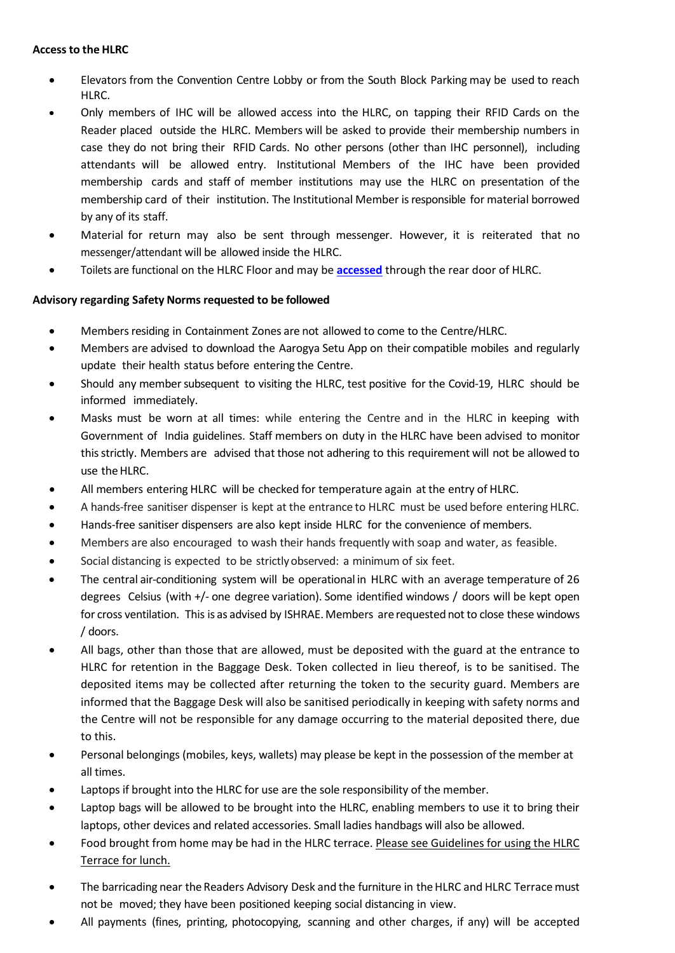### <span id="page-1-0"></span>**Access to the HLRC**

- Elevators from the Convention Centre Lobby or from the South Block Parking may be used to reach HLRC.
- Only members of IHC will be allowed access into the HLRC, on tapping their RFID Cards on the Reader placed outside the HLRC. Members will be asked to provide their membership numbers in case they do not bring their RFID Cards. No other persons (other than IHC personnel), including attendants will be allowed entry. Institutional Members of the IHC have been provided membership cards and staff of member institutions may use the HLRC on presentation of the membership card of their institution. The Institutional Member isresponsible for material borrowed by any of its staff.
- Material for return may also be sent through messenger. However, it is reiterated that no messenger/attendant will be allowed inside the HLRC.
- Toilets are functional on the HLRC Floor and may be **[accessed](#page-5-1)** through the rear door of HLRC.

# <span id="page-1-1"></span>**Advisory regarding Safety Norms requested to be followed**

- Members residing in Containment Zones are not allowed to come to the Centre/HLRC.
- Members are advised to download the Aarogya Setu App on their compatible mobiles and regularly update their health status before entering the Centre.
- Should any membersubsequent to visiting the HLRC, test positive for the Covid-19, HLRC should be informed immediately.
- Masks must be worn at all times: while entering the Centre and in the HLRC in keeping with Government of India guidelines. Staff members on duty in the HLRC have been advised to monitor thisstrictly. Members are advised that those not adhering to this requirement will not be allowed to use the HLRC.
- All members entering HLRC will be checked for temperature again at the entry of HLRC.
- A hands-free sanitiser dispenser is kept at the entrance to HLRC must be used before entering HLRC.
- Hands-free sanitiser dispensers are also kept inside HLRC for the convenience of members.
- Members are also encouraged to wash their hands frequently with soap and water, as feasible.
- Social distancing is expected to be strictly observed: a minimum of six feet.
- The central air-conditioning system will be operational in HLRC with an average temperature of 26 degrees Celsius (with +/- one degree variation). Some identified windows / doors will be kept open for cross ventilation. This is as advised by ISHRAE. Members are requested not to close these windows / doors.
- All bags, other than those that are allowed, must be deposited with the guard at the entrance to HLRC for retention in the Baggage Desk. Token collected in lieu thereof, is to be sanitised. The deposited items may be collected after returning the token to the security guard. Members are informed that the Baggage Desk will also be sanitised periodically in keeping with safety norms and the Centre will not be responsible for any damage occurring to the material deposited there, due to this.
- Personal belongings (mobiles, keys, wallets) may please be kept in the possession of the member at all times.
- Laptops if brought into the HLRC for use are the sole responsibility of the member.
- Laptop bags will be allowed to be brought into the HLRC, enabling members to use it to bring their laptops, other devices and related accessories. Small ladies handbags will also be allowed.
- Food brought from home may be had in the HLRC terrace. Please see Guidelines for using the HLRC Terrace for lunch.
- The barricading near the Readers Advisory Desk and the furniture in the HLRC and HLRC Terrace must not be moved; they have been positioned keeping social distancing in view.
- All payments (fines, printing, photocopying, scanning and other charges, if any) will be accepted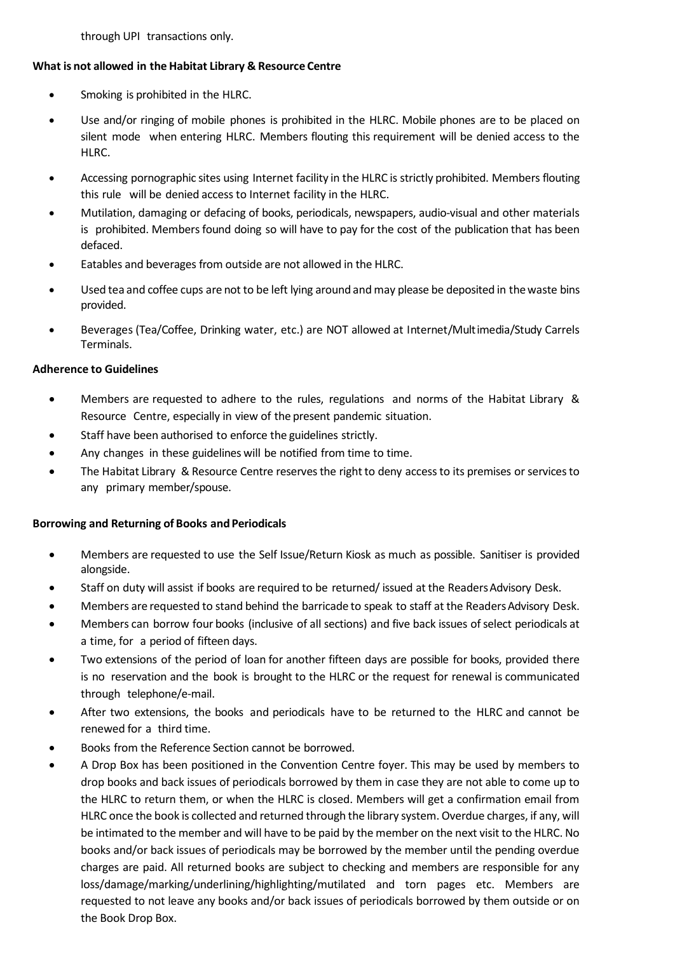through UPI transactions only.

### <span id="page-2-0"></span>**What is not allowed in the Habitat Library & Resource Centre**

- Smoking is prohibited in the HLRC.
- Use and/or ringing of mobile phones is prohibited in the HLRC. Mobile phones are to be placed on silent mode when entering HLRC. Members flouting this requirement will be denied access to the HLRC.
- Accessing pornographic sites using Internet facility in the HLRC is strictly prohibited. Members flouting this rule will be denied access to Internet facility in the HLRC.
- Mutilation, damaging or defacing of books, periodicals, newspapers, audio-visual and other materials is prohibited. Members found doing so will have to pay for the cost of the publication that has been defaced.
- Eatables and beverages from outside are not allowed in the HLRC.
- Used tea and coffee cups are not to be left lying around and may please be deposited in the waste bins provided.
- Beverages (Tea/Coffee, Drinking water, etc.) are NOT allowed at Internet/Multimedia/Study Carrels Terminals.

### <span id="page-2-1"></span>**Adherence to Guidelines**

- Members are requested to adhere to the rules, regulations and norms of the Habitat Library & Resource Centre, especially in view of the present pandemic situation.
- Staff have been authorised to enforce the guidelines strictly.
- Any changes in these guidelines will be notified from time to time.
- The Habitat Library & Resource Centre reserves the right to deny access to its premises or services to any primary member/spouse.

### <span id="page-2-2"></span>**Borrowing and Returning of Books and Periodicals**

- Members are requested to use the Self Issue/Return Kiosk as much as possible. Sanitiser is provided alongside.
- Staff on duty will assist if books are required to be returned/ issued at the Readers Advisory Desk.
- Members are requested to stand behind the barricade to speak to staff at the Readers Advisory Desk.
- Members can borrow four books (inclusive of all sections) and five back issues of select periodicals at a time, for a period of fifteen days.
- Two extensions of the period of loan for another fifteen days are possible for books, provided there is no reservation and the book is brought to the HLRC or the request for renewal is communicated through telephone/e-mail.
- After two extensions, the books and periodicals have to be returned to the HLRC and cannot be renewed for a third time.
- Books from the Reference Section cannot be borrowed.
- A Drop Box has been positioned in the Convention Centre foyer. This may be used by members to drop books and back issues of periodicals borrowed by them in case they are not able to come up to the HLRC to return them, or when the HLRC is closed. Members will get a confirmation email from HLRC once the book is collected and returned through the library system. Overdue charges, if any, will be intimated to the member and will have to be paid by the member on the next visit to the HLRC. No books and/or back issues of periodicals may be borrowed by the member until the pending overdue charges are paid. All returned books are subject to checking and members are responsible for any loss/damage/marking/underlining/highlighting/mutilated and torn pages etc. Members are requested to not leave any books and/or back issues of periodicals borrowed by them outside or on the Book Drop Box.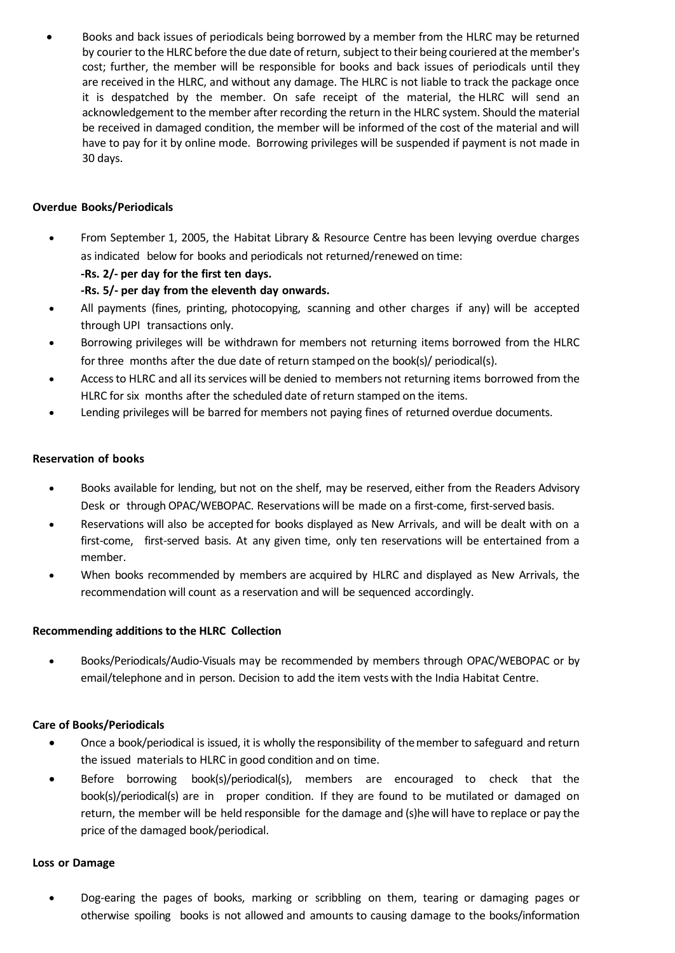• Books and back issues of periodicals being borrowed by a member from the HLRC may be returned by courier to the HLRC before the due date of return, subject to their being couriered at the member's cost; further, the member will be responsible for books and back issues of periodicals until they are received in the HLRC, and without any damage. The HLRC is not liable to track the package once it is despatched by the member. On safe receipt of the material, the HLRC will send an acknowledgement to the member after recording the return in the HLRC system. Should the material be received in damaged condition, the member will be informed of the cost of the material and will have to pay for it by online mode. Borrowing privileges will be suspended if payment is not made in 30 days.

## <span id="page-3-0"></span>**Overdue Books/Periodicals**

- From September 1, 2005, the Habitat Library & Resource Centre has been levying overdue charges as indicated below for books and periodicals not returned/renewed on time:
	- **-Rs. 2/- per day for the first ten days.**

**-Rs. 5/- per day from the eleventh day onwards.**

- All payments (fines, printing, photocopying, scanning and other charges if any) will be accepted through UPI transactions only.
- Borrowing privileges will be withdrawn for members not returning items borrowed from the HLRC for three months after the due date of return stamped on the book(s)/ periodical(s).
- Access to HLRC and all its services will be denied to members not returning items borrowed from the HLRC for six months after the scheduled date of return stamped on the items.
- Lending privileges will be barred for members not paying fines of returned overdue documents.

### <span id="page-3-1"></span>**Reservation of books**

- Books available for lending, but not on the shelf, may be reserved, either from the Readers Advisory Desk or through OPAC/WEBOPAC. Reservations will be made on a first-come, first-served basis.
- Reservations will also be accepted for books displayed as New Arrivals, and will be dealt with on a first-come, first-served basis. At any given time, only ten reservations will be entertained from a member.
- When books recommended by members are acquired by HLRC and displayed as New Arrivals, the recommendation will count as a reservation and will be sequenced accordingly.

# <span id="page-3-2"></span>**Recommending additions to the HLRC Collection**

• Books/Periodicals/Audio-Visuals may be recommended by members through OPAC/WEBOPAC or by email/telephone and in person. Decision to add the item vests with the India Habitat Centre.

# <span id="page-3-3"></span>**Care of Books/Periodicals**

- Once a book/periodical is issued, it is wholly the responsibility of the member to safeguard and return the issued materials to HLRC in good condition and on time.
- Before borrowing book(s)/periodical(s), members are encouraged to check that the book(s)/periodical(s) are in proper condition. If they are found to be mutilated or damaged on return, the member will be held responsible for the damage and (s)he will have to replace or pay the price of the damaged book/periodical.

### <span id="page-3-4"></span>**Loss or Damage**

• Dog-earing the pages of books, marking or scribbling on them, tearing or damaging pages or otherwise spoiling books is not allowed and amounts to causing damage to the books/information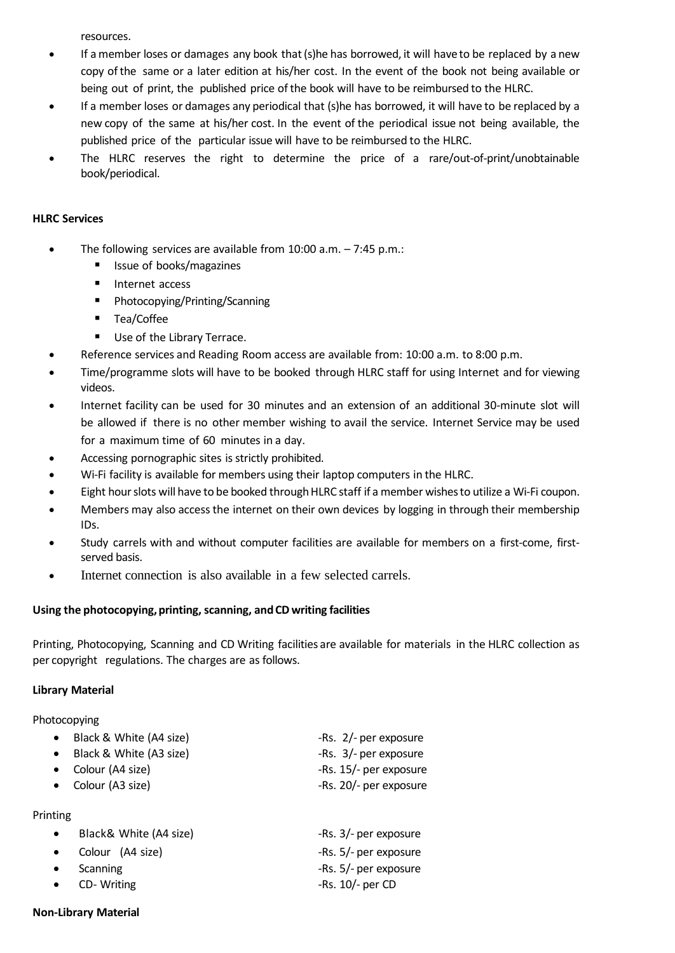resources.

- If a member loses or damages any book that (s)he has borrowed, it will have to be replaced by a new copy of the same or a later edition at his/her cost. In the event of the book not being available or being out of print, the published price of the book will have to be reimbursed to the HLRC.
- If a member loses or damages any periodical that (s)he has borrowed, it will have to be replaced by a new copy of the same at his/her cost. In the event of the periodical issue not being available, the published price of the particular issue will have to be reimbursed to the HLRC.
- The HLRC reserves the right to determine the price of a rare/out-of-print/unobtainable book/periodical.

### <span id="page-4-0"></span>**HLRC Services**

- The following services are available from 10:00 a.m. 7:45 p.m.:
	- Issue of books/magazines
	- Internet access
	- Photocopying/Printing/Scanning
	- Tea/Coffee
	- Use of the Library Terrace.
- Reference services and Reading Room access are available from: 10:00 a.m. to 8:00 p.m.
- Time/programme slots will have to be booked through HLRC staff for using Internet and for viewing videos.
- Internet facility can be used for 30 minutes and an extension of an additional 30-minute slot will be allowed if there is no other member wishing to avail the service. Internet Service may be used for a maximum time of 60 minutes in a day.
- Accessing pornographic sites is strictly prohibited.
- Wi-Fi facility is available for members using their laptop computers in the HLRC.
- Eight hour slots will have to be booked through HLRC staff if a member wishes to utilize a Wi-Fi coupon.
- Members may also access the internet on their own devices by logging in through their membership IDs.
- Study carrels with and without computer facilities are available for members on a first-come, firstserved basis.
- Internet connection is also available in a few selected carrels.

# <span id="page-4-1"></span>**Using the photocopying,printing, scanning, andCD writing facilities**

Printing, Photocopying, Scanning and CD Writing facilities are available for materials in the HLRC collection as per copyright regulations. The charges are as follows.

# **Library Material**

Photocopying

| • Black & White $(A4 \text{ size})$ | -Rs. 2/- per exposure  |
|-------------------------------------|------------------------|
| • Black & White (A3 size)           | -Rs. 3/- per exposure  |
| • Colour (A4 size)                  | -Rs. 15/- per exposure |
| • Colour (A3 size)                  | -Rs. 20/- per exposure |
|                                     |                        |

Printing

| Black& White (A4 size) | -Rs. 3/- per exposure |
|------------------------|-----------------------|
| • Colour $(A4 size)$   | -Rs. 5/- per exposure |
| • Scanning             | -Rs. 5/- per exposure |
| $\bullet$ CD-Writing   | -Rs. $10/-$ per CD    |

### **Non-Library Material**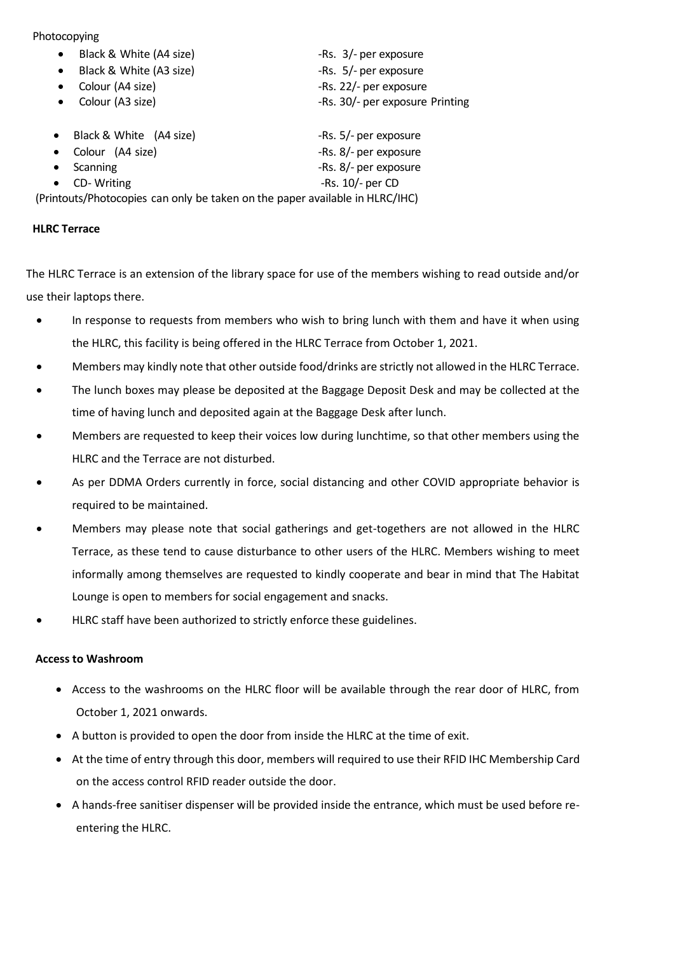### Photocopying

| Black & White (A4 size)<br>$\bullet$                                         | -Rs. 3/- per exposure           |
|------------------------------------------------------------------------------|---------------------------------|
| Black & White (A3 size)<br>$\bullet$                                         | -Rs. 5/- per exposure           |
| Colour (A4 size)<br>٠                                                        | -Rs. 22/- per exposure          |
| Colour (A3 size)<br>$\bullet$                                                | -Rs. 30/- per exposure Printing |
| Black & White (A4 size)<br>$\bullet$                                         | -Rs. 5/- per exposure           |
| Colour (A4 size)<br>$\bullet$                                                | -Rs. 8/- per exposure           |
| Scanning<br>$\bullet$                                                        | -Rs. 8/- per exposure           |
| CD-Writing<br>$\bullet$                                                      | -Rs. $10/-$ per CD              |
| (Printouts/Photocopies can only be taken on the paper available in HLRC/IHC) |                                 |
|                                                                              |                                 |

# <span id="page-5-0"></span>**HLRC Terrace**

The HLRC Terrace is an extension of the library space for use of the members wishing to read outside and/or use their laptops there.

- In response to requests from members who wish to bring lunch with them and have it when using the HLRC, this facility is being offered in the HLRC Terrace from October 1, 2021.
- Members may kindly note that other outside food/drinks are strictly not allowed in the HLRC Terrace.
- The lunch boxes may please be deposited at the Baggage Deposit Desk and may be collected at the time of having lunch and deposited again at the Baggage Desk after lunch.
- Members are requested to keep their voices low during lunchtime, so that other members using the HLRC and the Terrace are not disturbed.
- As per DDMA Orders currently in force, social distancing and other COVID appropriate behavior is required to be maintained.
- Members may please note that social gatherings and get-togethers are not allowed in the HLRC Terrace, as these tend to cause disturbance to other users of the HLRC. Members wishing to meet informally among themselves are requested to kindly cooperate and bear in mind that The Habitat Lounge is open to members for social engagement and snacks.
- HLRC staff have been authorized to strictly enforce these guidelines.

# <span id="page-5-1"></span>**Access to Washroom**

- Access to the washrooms on the HLRC floor will be available through the rear door of HLRC, from October 1, 2021 onwards.
- A button is provided to open the door from inside the HLRC at the time of exit.
- At the time of entry through this door, members will required to use their RFID IHC Membership Card on the access control RFID reader outside the door.
- A hands-free sanitiser dispenser will be provided inside the entrance, which must be used before reentering the HLRC.